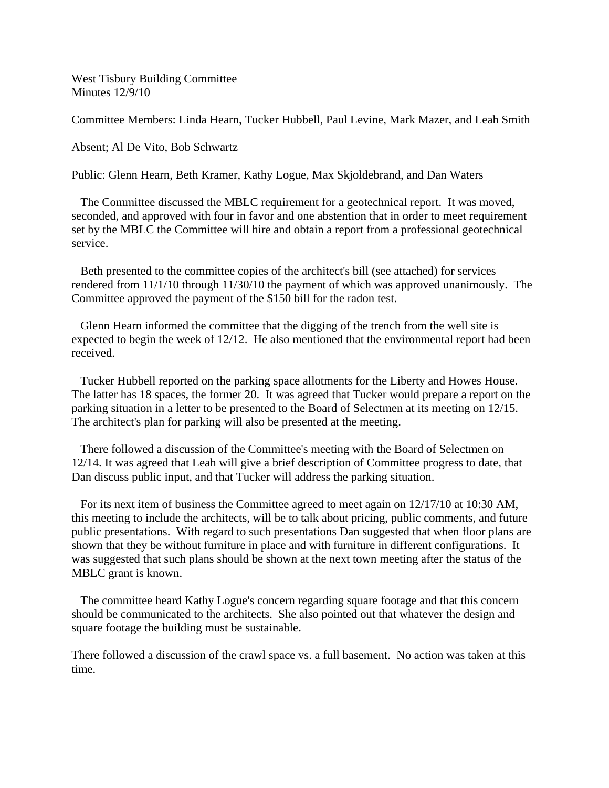West Tisbury Building Committee Minutes 12/9/10

Committee Members: Linda Hearn, Tucker Hubbell, Paul Levine, Mark Mazer, and Leah Smith

Absent; Al De Vito, Bob Schwartz

Public: Glenn Hearn, Beth Kramer, Kathy Logue, Max Skjoldebrand, and Dan Waters

 The Committee discussed the MBLC requirement for a geotechnical report. It was moved, seconded, and approved with four in favor and one abstention that in order to meet requirement set by the MBLC the Committee will hire and obtain a report from a professional geotechnical service.

 Beth presented to the committee copies of the architect's bill (see attached) for services rendered from 11/1/10 through 11/30/10 the payment of which was approved unanimously. The Committee approved the payment of the \$150 bill for the radon test.

 Glenn Hearn informed the committee that the digging of the trench from the well site is expected to begin the week of 12/12. He also mentioned that the environmental report had been received.

 Tucker Hubbell reported on the parking space allotments for the Liberty and Howes House. The latter has 18 spaces, the former 20. It was agreed that Tucker would prepare a report on the parking situation in a letter to be presented to the Board of Selectmen at its meeting on 12/15. The architect's plan for parking will also be presented at the meeting.

 There followed a discussion of the Committee's meeting with the Board of Selectmen on 12/14. It was agreed that Leah will give a brief description of Committee progress to date, that Dan discuss public input, and that Tucker will address the parking situation.

 For its next item of business the Committee agreed to meet again on 12/17/10 at 10:30 AM, this meeting to include the architects, will be to talk about pricing, public comments, and future public presentations. With regard to such presentations Dan suggested that when floor plans are shown that they be without furniture in place and with furniture in different configurations. It was suggested that such plans should be shown at the next town meeting after the status of the MBLC grant is known.

 The committee heard Kathy Logue's concern regarding square footage and that this concern should be communicated to the architects. She also pointed out that whatever the design and square footage the building must be sustainable.

There followed a discussion of the crawl space vs. a full basement. No action was taken at this time.